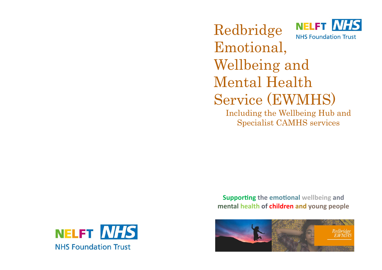NELFT NHS Redbridge **NHS Foundation Trust** Emotional, Wellbeing and Mental Health Service (EWMHS)

Including the Wellbeing Hub and Specialist CAMHS services

**Supporting the emotional wellbeing and mental health of children and young people**



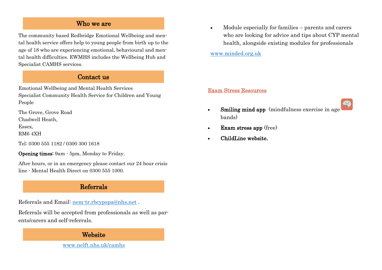# Who we are

The community based Redbridge Emotional Wellbeing and mental health service offers help to young people from birth up to the age of 18 who are experiencing emotional, behavioural and mental health difficulties. EWMHS includes the Wellbeing Hub and Specialist CAMHS services.

### Contact us

Emotional Wellbeing and Mental Health Services Specialist Community Health Service for Children and Young People

The Grove, Grove Road Chadwell Heath,

Essex,

RM6 4XH

Tel: 0300 555 1182 / 0300 300 1618

Opening times: 9am - 5pm, Monday to Friday.

After hours, or in an emergency please contact our 24 hour crisis line - Mental Health Direct on 0300 555 1000.

# Referrals

Referrals and Email: nem-tr.rbcypspa@nhs.net .

Referrals will be accepted from professionals as well as parents/carers and self-referrals.

# Website

www.nelft.nhs.uk/camhs

 Module especially for families – parents and carers who are looking for advice and tips about CYP mental health, alongside existing modules for professionals

[www.minded.org.uk](http://www.minded.org.uk)

#### Exam Stress Resources

- Smiling mind app (mindfulness exercise in age bands)
- Exam stress app (free)
- ChildLine website.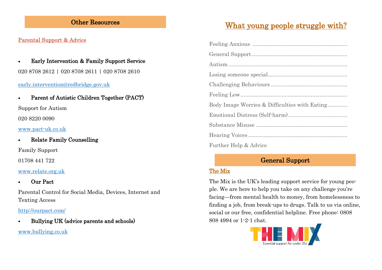# Other Resources

# Parental Support & Advice

 Early Intervention & Family Support Service 020 8708 2612 | 020 8708 2611 | 020 8708 2610

## [early.intervention@redbridge.gov.uk](mailto:early.intervention@redbridge.gov.uk)

Parent of Autistic Children Together (PACT)

Support for Autism

020 8220 0090

[www.pact-uk.co.uk](http://www.pact-uk.co.uk)

Relate Family Counselling

Family Support

01708 441 722

### [www.relate.org.uk](http://www.relate.org.uk)

Our Pact

Parental Control for Social Media, Devices, Internet and Texting Access

<http://ourpact.com/>

Bullying UK (advice parents and schools)

[www.bullying.co.uk](http://www.bullying.co.uk)

# What young people struggle with?

| Body Image Worries & Difficulties with Eating |
|-----------------------------------------------|
|                                               |
|                                               |
|                                               |
| Further Help & Advice                         |

# General Support

# The Mix

The Mix is the UK's leading support service for young people. We are here to help you take on any challenge you're facing—from mental health to money, from homelessness to finding a job, from break-ups to drugs. Talk to us via online, social or our free, confidential helpline. Free phone: 0808 808 4994 or 1-2-1 chat.

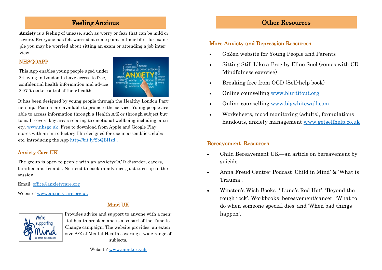# Feeling Anxious

Anxiety is a feeling of unease, such as worry or fear that can be mild or severe. Everyone has felt worried at some point in their life—for example you may be worried about sitting an exam or attending a job interview.

#### NHSGOAPP

This App enables young people aged under 24 living in London to have access to free, confidential health information and advice 24/7 'to take control of their health'.



It has been designed by young people through the Healthy London Partnership. Posters are available to promote the service. Young people are able to access information through a Health A-Z or through subject buttons. It covers key areas relating to emotional wellbeing including, anxiety. www.nhsgo.uk .Free to download from Apple and Google Play stores with an introductory film designed for use in assemblies, clubs etc. introducing the App http://bit.ly/2bQBHzd .

### Anxiety Care UK

The group is open to people with an anxiety/OCD disorder, carers, families and friends. No need to book in advance, just turn up to the session.

Email: office@anxietycare.org

Website: www.anxietycare.org.uk

# Mind UK



Provides advice and support to anyone with a mental health problem and is also part of the Time to Change campaign. The website provides: an extensive A-Z of Mental Health covering a wide range of subjects.

# Other Resources

### More Anxiety and Depression Resources

- GoZen website for Young People and Parents
- Sitting Still Like a Frog by Eline Suel (comes with CD Mindfulness exercise)
- Breaking free from OCD (Self-help book)
- Online counselling www.blurtitout.org
- Online counselling www.bigwhitewall.com
- Worksheets, mood monitoring (adults), formulations handouts, anxiety management www.getselfhelp.co.uk

### Bereavement Resources

- Child Bereavement UK—an article on bereavement by suicide.
- Anna Freud Centre- Podcast 'Child in Mind' & 'What is Trauma'.
- Winston's Wish Books- ' Luna's Red Hat', 'Beyond the rough rock'. Workbooks: bereavement/cancer- 'What to do when someone special dies' and 'When bad things happen<sup>'</sup>.

Website: [www.mind.org.uk](http://www.mind.org.uk)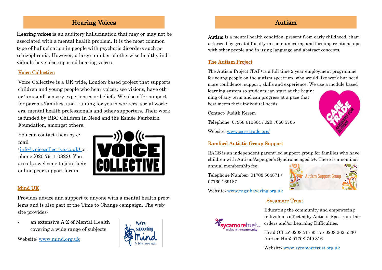# Hearing Voices

Hearing voices is an auditory hallucination that may or may not be associated with a mental health problem. It is the most common type of hallucination in people with psychotic disorders such as schizophrenia. However, a large number of otherwise healthy individuals have also reported hearing voices.

#### Voice Collective

Voice Collective is a UK-wide, London-based project that supports children and young people who hear voices, see visions, have other 'unusual' sensory experiences or beliefs. We also offer support for parents/families, and training for youth workers, social workers, mental health professionals and other supporters. Their work is funded by BBC Children In Need and the Esmée Fairbairn Foundation, amongst others.

You can contact them by email

(info@voicecollective.co.uk) or phone (020 7911 0822). You are also welcome to join their online peer support forum.



# Mind UK

Provides advice and support to anyone with a mental health problems and is also part of the Time to Change campaign. The website provides:

 an extensive A-Z of Mental Health covering a wide range of subjects

Website: [www.mind.org.uk](http://www.mind.org.uk)



# Autism

Autism is a mental health condition, present from early childhood, characterized by great difficulty in communicating and forming relationships with other people and in using language and abstract concepts.

# The Autism Project

The Autism Project (TAP) is a full time 2 year employment programme for young people on the autism spectrum, who would like work but need more confidence, support, skills and experience. We use a module based

learning system so students can start at the beginning of any term and can progress at a pace that best meets their individual needs.

Contact: Judith Kerem

Telephone: 07958 610864 / 020 7060 5706

Website: www.care-trade.org/

#### Romford Autistic Group Support

RAGS is an independent parent-led support group for families who have children with Autism/Asperger's Syndrome aged 5+. There is a nominal annual membership fee.

Telephone Number: 01708 564871 / 07760 169187



Website: www.rags-havering.org.uk

### Sycamore Trust



Educating the community and empowering individuals affected by Autistic Spectrum Disorders and/or Learning Difficulties.

Head Office: 0208 517 9317 / 0208 262 5330 Autism Hub: 01708 749 816

Website: www.sycamoretrust.org.uk

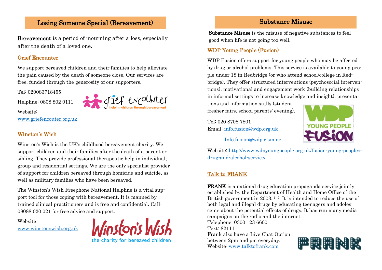# Losing Someone Special (Bereavement)

Bereavement is a period of mourning after a loss, especially after the death of a loved one.

#### Grief Encounter

We support bereaved children and their families to help alleviate the pain caused by the death of someone close. Our services are free, funded through the generosity of our supporters.

Tel: 020083718455

Helpline: 0808 802 0111



www.griefencouter.org.uk

## Winston's Wish

Website:

Winston's Wish is the UK's childhood bereavement charity. We support children and their families after the death of a parent or sibling. They provide professional therapeutic help in individual, group and residential settings. We are the only specialist provider of support for children bereaved through homicide and suicide, as well as military families who have been bereaved.

The Winston's Wish Freephone National Helpline is a vital support tool for those coping with bereavement. It is manned by trained clinical practitioners and is free and confidential. Call: 08088 020 021 for free advice and support.

Website:

www.winstonswish.org.uk



# Substance Misuse

Substance Misuse is the misuse of negative substances to feel good when life is not going too well.

# WDP Young People (Fusion)

WDP Fusion offers support for young people who may be affected by drug or alcohol problems. This service is available to young people under 18 in Redbridge (or who attend school/college in Redbridge). They offer structured interventions (psychosocial interventions), motivational and engagement work (building relationships in informal settings to increase knowledge and insight), presenta-

tions and information stalls (student fresher fairs, school parents' evening).

Tel: 020 8708 7801 Email: info.fusion@wdp.org.uk



Info.fusion@wdp.cjsm.net

Website: http://www.wdpyoungpeople.org.uk/fusion-young-peoplesdrug-and-alcohol-service/

# Talk to FRANK

FRANK is a national [drug education](https://en.wikipedia.org/wiki/Drug_education) [propaganda](https://en.wikipedia.org/wiki/Propaganda) service jointly established by the [Department of Health](https://en.wikipedia.org/wiki/Department_of_Health_(United_Kingdom)) and [Home Office o](https://en.wikipedia.org/wiki/Home_Office)f the [British government i](https://en.wikipedia.org/wiki/Government_of_the_United_Kingdom)n 2003.<sup>[\[1\]\[](https://en.wikipedia.org/wiki/FRANK_(drugs)#cite_note-1)[2\]](https://en.wikipedia.org/wiki/FRANK_(drugs)#cite_note-2)</sup> It is intended to reduce the use of both legal and illegal drugs by educating teenagers and adolescents about the potential effects of drugs. It has run many media campaigns on the radio and the internet.

Telephone: 0300 123 6600 Text: 82111 Frank also have a Live Chat Option between 2pm and pm everyday. Website: www.talktofrank.com

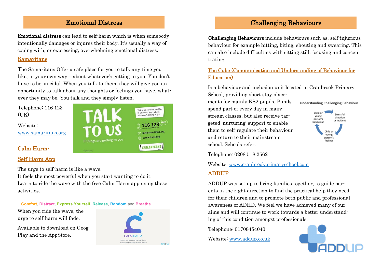# Challenging Behaviours

## Emotional Distress

Emotional distress can lead to self-harm which is when somebody intentionally damages or injures their body. It's usually a way of coping with, or expressing, overwhelming emotional distress.

#### Samaritans

The Samaritans Offer a safe place for you to talk any time you like, in your own way – about whatever's getting to you. You don't have to be suicidal. When you talk to them, they will give you an opportunity to talk about any thoughts or feelings you have, whatever they may be. You talk and they simply listen.

Telephone: 116 123  $(TK)$ 

Website: [www.samaritans.org](http://www.samaritans.org)

#### Calm Harm-

#### Self Harm App

The urge to self-harm is like a wave.

It feels the most powerful when you start wanting to do it. Learn to ride the wave with the free Calm Harm app using these activities.

**Comfort**, **Distract**, **Express Yourself**, **Release**, **Random** and **Breathe**.

When you ride the wave, the urge to self-harm will fade.

Available to download on Goog Play and the AppStore.



Talk to us any time you like, in your own way - about

and conting to you

**SAMARITANS** 

Challenging Behaviours include behaviours such as, self-injurious behaviour for example hitting, biting, shouting and swearing. This can also include difficulties with sitting still, focusing and concentrating.

### The Cube (Communication and Understanding of Behaviour for Education)

Is a behaviour and inclusion unit located in Cranbrook Primary School, providing short stay place-

ments for mainly KS2 pupils. Pupils spend part of every day in mainstream classes, but also receive targeted 'nurturing' support to enable them to self-regulate their behaviour and return to their mainstream school. Schools refer.

## Understanding Challenging Behaviour



Telephone: 0208 518 2562

Website: www.cranbrookprimaryschool.com

#### ADDUP

ADDUP was set up to bring families together, to guide parents in the right direction to find the practical help they need for their children and to promote both public and professional awareness of ADHD. We feel we have achieved many of our aims and will continue to work towards a better understanding of this condition amongst professionals.

Telephone: 01708454040

Website: www.addup.co.uk